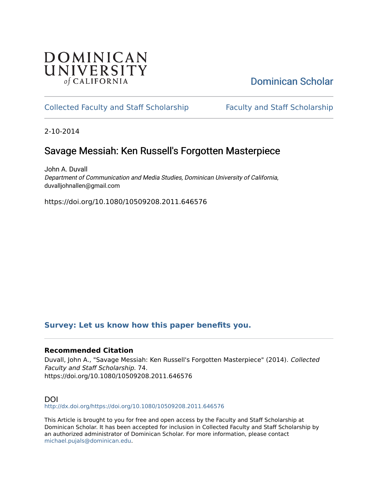# **DOMINICAN** UNIVERSITY of CALIFORNIA

# [Dominican Scholar](https://scholar.dominican.edu/)

# [Collected Faculty and Staff Scholarship](https://scholar.dominican.edu/all-faculty) [Faculty and Staff Scholarship](https://scholar.dominican.edu/faculty-scholarship)

2-10-2014

# Savage Messiah: Ken Russell's Forgotten Masterpiece

John A. Duvall Department of Communication and Media Studies, Dominican University of California, duvalljohnallen@gmail.com

https://doi.org/10.1080/10509208.2011.646576

# **[Survey: Let us know how this paper benefits you.](https://dominican.libwizard.com/dominican-scholar-feedback)**

## **Recommended Citation**

Duvall, John A., "Savage Messiah: Ken Russell's Forgotten Masterpiece" (2014). Collected Faculty and Staff Scholarship. 74. https://doi.org/10.1080/10509208.2011.646576

## DOI

<http://dx.doi.org/https://doi.org/10.1080/10509208.2011.646576>

This Article is brought to you for free and open access by the Faculty and Staff Scholarship at Dominican Scholar. It has been accepted for inclusion in Collected Faculty and Staff Scholarship by an authorized administrator of Dominican Scholar. For more information, please contact [michael.pujals@dominican.edu.](mailto:michael.pujals@dominican.edu)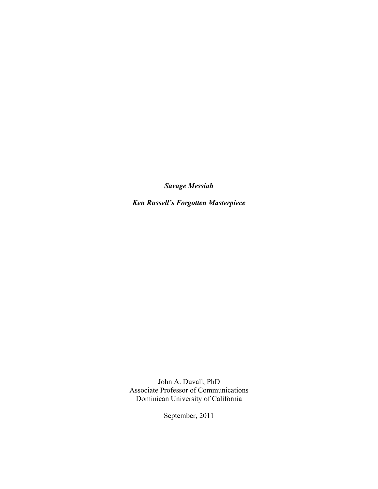*Savage Messiah*

*Ken Russell's Forgotten Masterpiece*

John A. Duvall, PhD Associate Professor of Communications Dominican University of California

September, 2011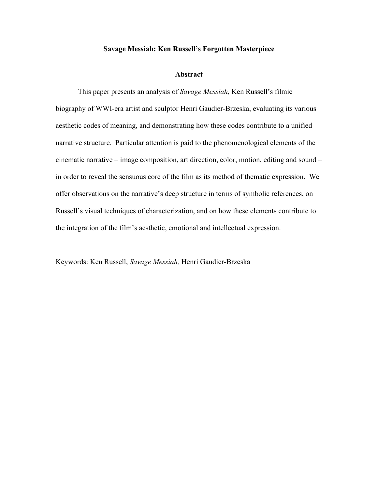#### **Savage Messiah: Ken Russell's Forgotten Masterpiece**

### **Abstract**

This paper presents an analysis of *Savage Messiah,* Ken Russell's filmic biography of WWI-era artist and sculptor Henri Gaudier-Brzeska, evaluating its various aesthetic codes of meaning, and demonstrating how these codes contribute to a unified narrative structure. Particular attention is paid to the phenomenological elements of the cinematic narrative – image composition, art direction, color, motion, editing and sound – in order to reveal the sensuous core of the film as its method of thematic expression. We offer observations on the narrative's deep structure in terms of symbolic references, on Russell's visual techniques of characterization, and on how these elements contribute to the integration of the film's aesthetic, emotional and intellectual expression.

Keywords: Ken Russell, *Savage Messiah,* Henri Gaudier-Brzeska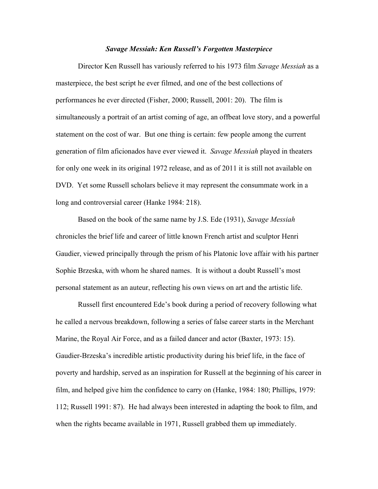### *Savage Messiah: Ken Russell's Forgotten Masterpiece*

Director Ken Russell has variously referred to his 1973 film *Savage Messiah* as a masterpiece, the best script he ever filmed, and one of the best collections of performances he ever directed (Fisher, 2000; Russell, 2001: 20). The film is simultaneously a portrait of an artist coming of age, an offbeat love story, and a powerful statement on the cost of war. But one thing is certain: few people among the current generation of film aficionados have ever viewed it. *Savage Messiah* played in theaters for only one week in its original 1972 release, and as of 2011 it is still not available on DVD. Yet some Russell scholars believe it may represent the consummate work in a long and controversial career (Hanke 1984: 218).

Based on the book of the same name by J.S. Ede (1931), *Savage Messiah*  chronicles the brief life and career of little known French artist and sculptor Henri Gaudier, viewed principally through the prism of his Platonic love affair with his partner Sophie Brzeska, with whom he shared names. It is without a doubt Russell's most personal statement as an auteur, reflecting his own views on art and the artistic life.

Russell first encountered Ede's book during a period of recovery following what he called a nervous breakdown, following a series of false career starts in the Merchant Marine, the Royal Air Force, and as a failed dancer and actor (Baxter, 1973: 15). Gaudier-Brzeska's incredible artistic productivity during his brief life, in the face of poverty and hardship, served as an inspiration for Russell at the beginning of his career in film, and helped give him the confidence to carry on (Hanke, 1984: 180; Phillips, 1979: 112; Russell 1991: 87). He had always been interested in adapting the book to film, and when the rights became available in 1971, Russell grabbed them up immediately.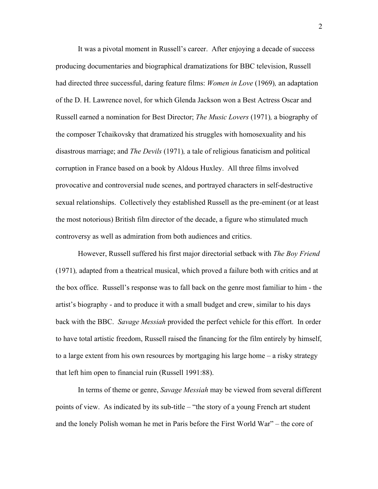It was a pivotal moment in Russell's career. After enjoying a decade of success producing documentaries and biographical dramatizations for BBC television, Russell had directed three successful, daring feature films: *Women in Love* (1969)*,* an adaptation of the D. H. Lawrence novel, for which Glenda Jackson won a Best Actress Oscar and Russell earned a nomination for Best Director; *The Music Lovers* (1971)*,* a biography of the composer Tchaikovsky that dramatized his struggles with homosexuality and his disastrous marriage; and *The Devils* (1971)*,* a tale of religious fanaticism and political corruption in France based on a book by Aldous Huxley. All three films involved provocative and controversial nude scenes, and portrayed characters in self-destructive sexual relationships. Collectively they established Russell as the pre-eminent (or at least the most notorious) British film director of the decade, a figure who stimulated much controversy as well as admiration from both audiences and critics.

However, Russell suffered his first major directorial setback with *The Boy Friend*  (1971)*,* adapted from a theatrical musical, which proved a failure both with critics and at the box office. Russell's response was to fall back on the genre most familiar to him - the artist's biography - and to produce it with a small budget and crew, similar to his days back with the BBC. *Savage Messiah* provided the perfect vehicle for this effort. In order to have total artistic freedom, Russell raised the financing for the film entirely by himself, to a large extent from his own resources by mortgaging his large home – a risky strategy that left him open to financial ruin (Russell 1991:88).

In terms of theme or genre, *Savage Messiah* may be viewed from several different points of view. As indicated by its sub-title – "the story of a young French art student and the lonely Polish woman he met in Paris before the First World War" – the core of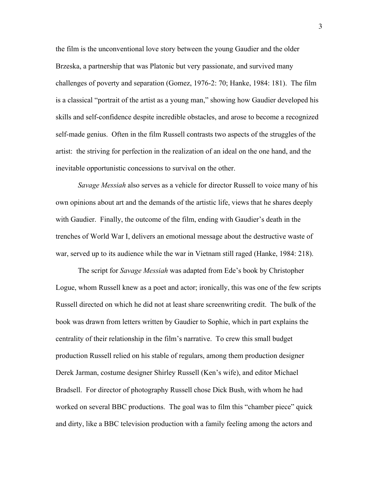the film is the unconventional love story between the young Gaudier and the older Brzeska, a partnership that was Platonic but very passionate, and survived many challenges of poverty and separation (Gomez, 1976-2: 70; Hanke, 1984: 181). The film is a classical "portrait of the artist as a young man," showing how Gaudier developed his skills and self-confidence despite incredible obstacles, and arose to become a recognized self-made genius. Often in the film Russell contrasts two aspects of the struggles of the artist: the striving for perfection in the realization of an ideal on the one hand, and the inevitable opportunistic concessions to survival on the other.

*Savage Messiah* also serves as a vehicle for director Russell to voice many of his own opinions about art and the demands of the artistic life, views that he shares deeply with Gaudier. Finally, the outcome of the film, ending with Gaudier's death in the trenches of World War I, delivers an emotional message about the destructive waste of war, served up to its audience while the war in Vietnam still raged (Hanke, 1984: 218).

The script for *Savage Messiah* was adapted from Ede's book by Christopher Logue, whom Russell knew as a poet and actor; ironically, this was one of the few scripts Russell directed on which he did not at least share screenwriting credit. The bulk of the book was drawn from letters written by Gaudier to Sophie, which in part explains the centrality of their relationship in the film's narrative. To crew this small budget production Russell relied on his stable of regulars, among them production designer Derek Jarman, costume designer Shirley Russell (Ken's wife), and editor Michael Bradsell. For director of photography Russell chose Dick Bush, with whom he had worked on several BBC productions. The goal was to film this "chamber piece" quick and dirty, like a BBC television production with a family feeling among the actors and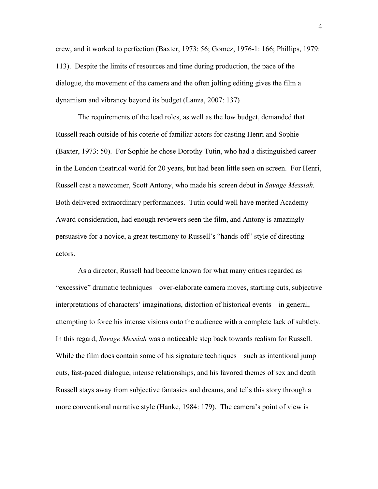crew, and it worked to perfection (Baxter, 1973: 56; Gomez, 1976-1: 166; Phillips, 1979: 113). Despite the limits of resources and time during production, the pace of the dialogue, the movement of the camera and the often jolting editing gives the film a dynamism and vibrancy beyond its budget (Lanza, 2007: 137)

The requirements of the lead roles, as well as the low budget, demanded that Russell reach outside of his coterie of familiar actors for casting Henri and Sophie (Baxter, 1973: 50). For Sophie he chose Dorothy Tutin, who had a distinguished career in the London theatrical world for 20 years, but had been little seen on screen. For Henri, Russell cast a newcomer, Scott Antony, who made his screen debut in *Savage Messiah.*  Both delivered extraordinary performances. Tutin could well have merited Academy Award consideration, had enough reviewers seen the film, and Antony is amazingly persuasive for a novice, a great testimony to Russell's "hands-off" style of directing actors.

As a director, Russell had become known for what many critics regarded as "excessive" dramatic techniques – over-elaborate camera moves, startling cuts, subjective interpretations of characters' imaginations, distortion of historical events – in general, attempting to force his intense visions onto the audience with a complete lack of subtlety. In this regard, *Savage Messiah* was a noticeable step back towards realism for Russell. While the film does contain some of his signature techniques – such as intentional jump cuts, fast-paced dialogue, intense relationships, and his favored themes of sex and death – Russell stays away from subjective fantasies and dreams, and tells this story through a more conventional narrative style (Hanke, 1984: 179). The camera's point of view is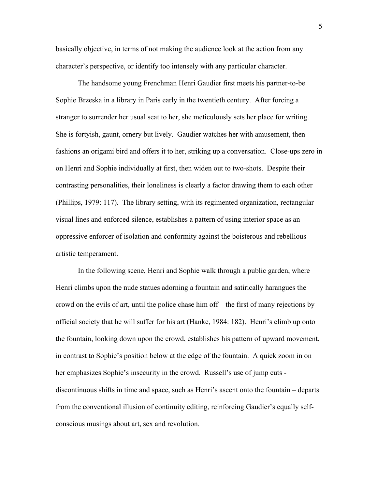basically objective, in terms of not making the audience look at the action from any character's perspective, or identify too intensely with any particular character.

The handsome young Frenchman Henri Gaudier first meets his partner-to-be Sophie Brzeska in a library in Paris early in the twentieth century. After forcing a stranger to surrender her usual seat to her, she meticulously sets her place for writing. She is fortyish, gaunt, ornery but lively. Gaudier watches her with amusement, then fashions an origami bird and offers it to her, striking up a conversation. Close-ups zero in on Henri and Sophie individually at first, then widen out to two-shots. Despite their contrasting personalities, their loneliness is clearly a factor drawing them to each other (Phillips, 1979: 117). The library setting, with its regimented organization, rectangular visual lines and enforced silence, establishes a pattern of using interior space as an oppressive enforcer of isolation and conformity against the boisterous and rebellious artistic temperament.

In the following scene, Henri and Sophie walk through a public garden, where Henri climbs upon the nude statues adorning a fountain and satirically harangues the crowd on the evils of art, until the police chase him off – the first of many rejections by official society that he will suffer for his art (Hanke, 1984: 182). Henri's climb up onto the fountain, looking down upon the crowd, establishes his pattern of upward movement, in contrast to Sophie's position below at the edge of the fountain. A quick zoom in on her emphasizes Sophie's insecurity in the crowd. Russell's use of jump cuts discontinuous shifts in time and space, such as Henri's ascent onto the fountain – departs from the conventional illusion of continuity editing, reinforcing Gaudier's equally selfconscious musings about art, sex and revolution.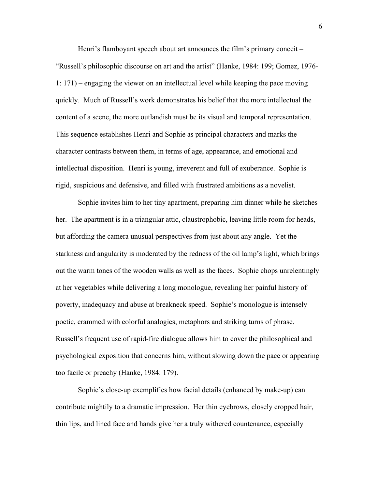Henri's flamboyant speech about art announces the film's primary conceit – "Russell's philosophic discourse on art and the artist" (Hanke, 1984: 199; Gomez, 1976- 1: 171) – engaging the viewer on an intellectual level while keeping the pace moving quickly. Much of Russell's work demonstrates his belief that the more intellectual the content of a scene, the more outlandish must be its visual and temporal representation. This sequence establishes Henri and Sophie as principal characters and marks the character contrasts between them, in terms of age, appearance, and emotional and intellectual disposition. Henri is young, irreverent and full of exuberance. Sophie is rigid, suspicious and defensive, and filled with frustrated ambitions as a novelist.

Sophie invites him to her tiny apartment, preparing him dinner while he sketches her. The apartment is in a triangular attic, claustrophobic, leaving little room for heads, but affording the camera unusual perspectives from just about any angle. Yet the starkness and angularity is moderated by the redness of the oil lamp's light, which brings out the warm tones of the wooden walls as well as the faces. Sophie chops unrelentingly at her vegetables while delivering a long monologue, revealing her painful history of poverty, inadequacy and abuse at breakneck speed. Sophie's monologue is intensely poetic, crammed with colorful analogies, metaphors and striking turns of phrase. Russell's frequent use of rapid-fire dialogue allows him to cover the philosophical and psychological exposition that concerns him, without slowing down the pace or appearing too facile or preachy (Hanke, 1984: 179).

Sophie's close-up exemplifies how facial details (enhanced by make-up) can contribute mightily to a dramatic impression. Her thin eyebrows, closely cropped hair, thin lips, and lined face and hands give her a truly withered countenance, especially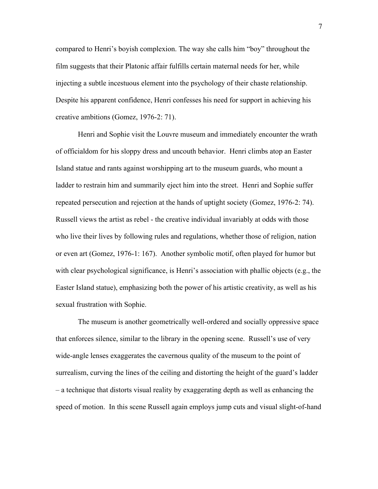compared to Henri's boyish complexion. The way she calls him "boy" throughout the film suggests that their Platonic affair fulfills certain maternal needs for her, while injecting a subtle incestuous element into the psychology of their chaste relationship. Despite his apparent confidence, Henri confesses his need for support in achieving his creative ambitions (Gomez, 1976-2: 71).

Henri and Sophie visit the Louvre museum and immediately encounter the wrath of officialdom for his sloppy dress and uncouth behavior. Henri climbs atop an Easter Island statue and rants against worshipping art to the museum guards, who mount a ladder to restrain him and summarily eject him into the street. Henri and Sophie suffer repeated persecution and rejection at the hands of uptight society (Gomez, 1976-2: 74). Russell views the artist as rebel - the creative individual invariably at odds with those who live their lives by following rules and regulations, whether those of religion, nation or even art (Gomez, 1976-1: 167). Another symbolic motif, often played for humor but with clear psychological significance, is Henri's association with phallic objects (e.g., the Easter Island statue), emphasizing both the power of his artistic creativity, as well as his sexual frustration with Sophie.

The museum is another geometrically well-ordered and socially oppressive space that enforces silence, similar to the library in the opening scene. Russell's use of very wide-angle lenses exaggerates the cavernous quality of the museum to the point of surrealism, curving the lines of the ceiling and distorting the height of the guard's ladder – a technique that distorts visual reality by exaggerating depth as well as enhancing the speed of motion. In this scene Russell again employs jump cuts and visual slight-of-hand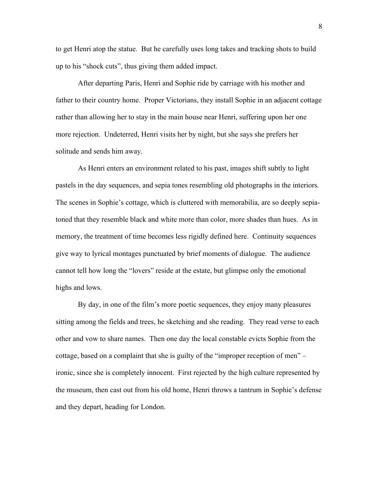to get Henri atop the statue. But he carefully uses long takes and tracking shots to build up to his "shock cuts", thus giving them added impact.

After departing Paris, Henri and Sophie ride by carriage with his mother and father to their country home. Proper Victorians, they install Sophie in an adjacent cottage rather than allowing her to stay in the main house near Henri, suffering upon her one more rejection. Undeterred, Henri visits her by night, but she says she prefers her solitude and sends him away.

As Henri enters an environment related to his past, images shift subtly to light pastels in the day sequences, and sepia tones resembling old photographs in the interiors. The scenes in Sophie's cottage, which is cluttered with memorabilia, are so deeply sepiatoned that they resemble black and white more than color, more shades than hues. As in memory, the treatment of time becomes less rigidly defined here. Continuity sequences give way to lyrical montages punctuated by brief moments of dialogue. The audience cannot tell how long the "lovers" reside at the estate, but glimpse only the emotional highs and lows.

By day, in one of the film's more poetic sequences, they enjoy many pleasures sitting among the fields and trees, he sketching and she reading. They read verse to each other and vow to share names. Then one day the local constable evicts Sophie from the cottage, based on a complaint that she is guilty of the "improper reception of men" – ironic, since she is completely innocent. First rejected by the high culture represented by the museum, then cast out from his old home, Henri throws a tantrum in Sophie's defense and they depart, heading for London.

8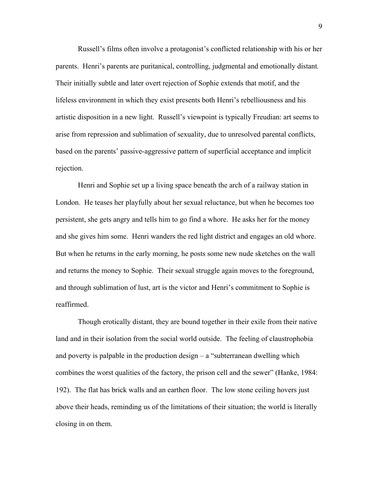Russell's films often involve a protagonist's conflicted relationship with his or her parents. Henri's parents are puritanical, controlling, judgmental and emotionally distant*.*  Their initially subtle and later overt rejection of Sophie extends that motif, and the lifeless environment in which they exist presents both Henri's rebelliousness and his artistic disposition in a new light. Russell's viewpoint is typically Freudian: art seems to arise from repression and sublimation of sexuality, due to unresolved parental conflicts, based on the parents' passive-aggressive pattern of superficial acceptance and implicit rejection.

Henri and Sophie set up a living space beneath the arch of a railway station in London. He teases her playfully about her sexual reluctance, but when he becomes too persistent, she gets angry and tells him to go find a whore. He asks her for the money and she gives him some. Henri wanders the red light district and engages an old whore. But when he returns in the early morning, he posts some new nude sketches on the wall and returns the money to Sophie. Their sexual struggle again moves to the foreground, and through sublimation of lust, art is the victor and Henri's commitment to Sophie is reaffirmed.

Though erotically distant, they are bound together in their exile from their native land and in their isolation from the social world outside. The feeling of claustrophobia and poverty is palpable in the production design – a "subterranean dwelling which combines the worst qualities of the factory, the prison cell and the sewer" (Hanke, 1984: 192). The flat has brick walls and an earthen floor. The low stone ceiling hovers just above their heads, reminding us of the limitations of their situation; the world is literally closing in on them.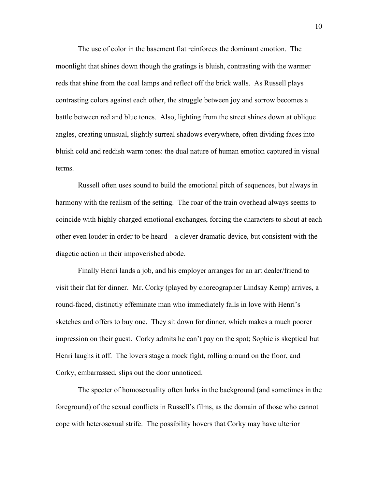The use of color in the basement flat reinforces the dominant emotion. The moonlight that shines down though the gratings is bluish, contrasting with the warmer reds that shine from the coal lamps and reflect off the brick walls. As Russell plays contrasting colors against each other, the struggle between joy and sorrow becomes a battle between red and blue tones. Also, lighting from the street shines down at oblique angles, creating unusual, slightly surreal shadows everywhere, often dividing faces into bluish cold and reddish warm tones: the dual nature of human emotion captured in visual terms.

Russell often uses sound to build the emotional pitch of sequences, but always in harmony with the realism of the setting. The roar of the train overhead always seems to coincide with highly charged emotional exchanges, forcing the characters to shout at each other even louder in order to be heard – a clever dramatic device, but consistent with the diagetic action in their impoverished abode.

Finally Henri lands a job, and his employer arranges for an art dealer/friend to visit their flat for dinner. Mr. Corky (played by choreographer Lindsay Kemp) arrives, a round-faced, distinctly effeminate man who immediately falls in love with Henri's sketches and offers to buy one. They sit down for dinner, which makes a much poorer impression on their guest. Corky admits he can't pay on the spot; Sophie is skeptical but Henri laughs it off. The lovers stage a mock fight, rolling around on the floor, and Corky, embarrassed, slips out the door unnoticed.

The specter of homosexuality often lurks in the background (and sometimes in the foreground) of the sexual conflicts in Russell's films, as the domain of those who cannot cope with heterosexual strife. The possibility hovers that Corky may have ulterior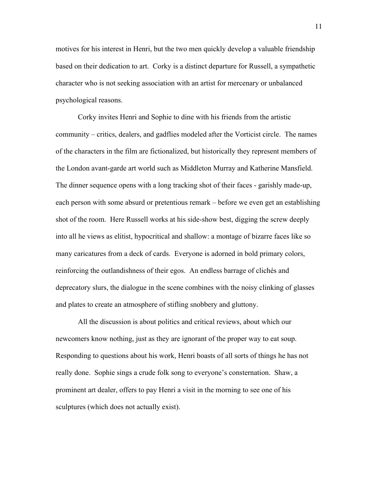motives for his interest in Henri, but the two men quickly develop a valuable friendship based on their dedication to art. Corky is a distinct departure for Russell, a sympathetic character who is not seeking association with an artist for mercenary or unbalanced psychological reasons.

Corky invites Henri and Sophie to dine with his friends from the artistic community – critics, dealers, and gadflies modeled after the Vorticist circle. The names of the characters in the film are fictionalized, but historically they represent members of the London avant-garde art world such as Middleton Murray and Katherine Mansfield. The dinner sequence opens with a long tracking shot of their faces - garishly made-up, each person with some absurd or pretentious remark – before we even get an establishing shot of the room. Here Russell works at his side-show best, digging the screw deeply into all he views as elitist, hypocritical and shallow: a montage of bizarre faces like so many caricatures from a deck of cards. Everyone is adorned in bold primary colors, reinforcing the outlandishness of their egos. An endless barrage of clichés and deprecatory slurs, the dialogue in the scene combines with the noisy clinking of glasses and plates to create an atmosphere of stifling snobbery and gluttony.

All the discussion is about politics and critical reviews, about which our newcomers know nothing, just as they are ignorant of the proper way to eat soup. Responding to questions about his work, Henri boasts of all sorts of things he has not really done. Sophie sings a crude folk song to everyone's consternation. Shaw, a prominent art dealer, offers to pay Henri a visit in the morning to see one of his sculptures (which does not actually exist).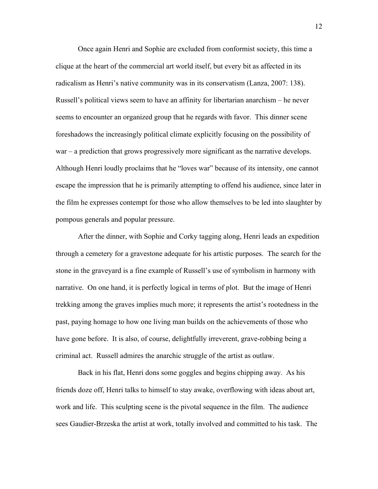Once again Henri and Sophie are excluded from conformist society, this time a clique at the heart of the commercial art world itself, but every bit as affected in its radicalism as Henri's native community was in its conservatism (Lanza, 2007: 138). Russell's political views seem to have an affinity for libertarian anarchism – he never seems to encounter an organized group that he regards with favor. This dinner scene foreshadows the increasingly political climate explicitly focusing on the possibility of war – a prediction that grows progressively more significant as the narrative develops. Although Henri loudly proclaims that he "loves war" because of its intensity, one cannot escape the impression that he is primarily attempting to offend his audience, since later in the film he expresses contempt for those who allow themselves to be led into slaughter by pompous generals and popular pressure.

After the dinner, with Sophie and Corky tagging along, Henri leads an expedition through a cemetery for a gravestone adequate for his artistic purposes. The search for the stone in the graveyard is a fine example of Russell's use of symbolism in harmony with narrative. On one hand, it is perfectly logical in terms of plot. But the image of Henri trekking among the graves implies much more; it represents the artist's rootedness in the past, paying homage to how one living man builds on the achievements of those who have gone before. It is also, of course, delightfully irreverent, grave-robbing being a criminal act. Russell admires the anarchic struggle of the artist as outlaw.

Back in his flat, Henri dons some goggles and begins chipping away. As his friends doze off, Henri talks to himself to stay awake, overflowing with ideas about art, work and life. This sculpting scene is the pivotal sequence in the film. The audience sees Gaudier-Brzeska the artist at work, totally involved and committed to his task. The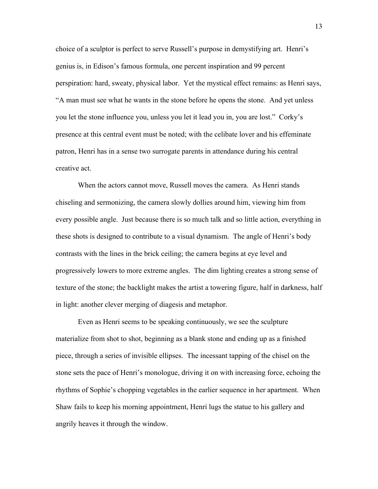choice of a sculptor is perfect to serve Russell's purpose in demystifying art. Henri's genius is, in Edison's famous formula, one percent inspiration and 99 percent perspiration: hard, sweaty, physical labor. Yet the mystical effect remains: as Henri says, "A man must see what he wants in the stone before he opens the stone. And yet unless you let the stone influence you, unless you let it lead you in, you are lost." Corky's presence at this central event must be noted; with the celibate lover and his effeminate patron, Henri has in a sense two surrogate parents in attendance during his central creative act.

When the actors cannot move, Russell moves the camera. As Henri stands chiseling and sermonizing, the camera slowly dollies around him, viewing him from every possible angle. Just because there is so much talk and so little action, everything in these shots is designed to contribute to a visual dynamism. The angle of Henri's body contrasts with the lines in the brick ceiling; the camera begins at eye level and progressively lowers to more extreme angles. The dim lighting creates a strong sense of texture of the stone; the backlight makes the artist a towering figure, half in darkness, half in light: another clever merging of diagesis and metaphor.

Even as Henri seems to be speaking continuously, we see the sculpture materialize from shot to shot, beginning as a blank stone and ending up as a finished piece, through a series of invisible ellipses. The incessant tapping of the chisel on the stone sets the pace of Henri's monologue, driving it on with increasing force, echoing the rhythms of Sophie's chopping vegetables in the earlier sequence in her apartment. When Shaw fails to keep his morning appointment, Henri lugs the statue to his gallery and angrily heaves it through the window.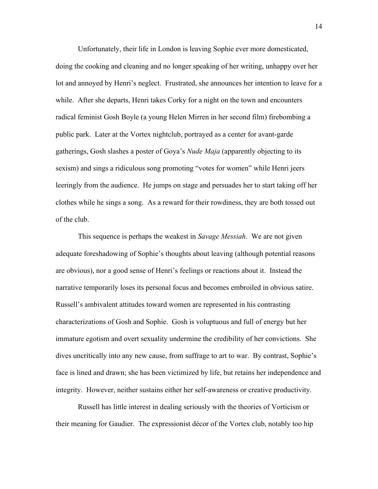Unfortunately, their life in London is leaving Sophie ever more domesticated, doing the cooking and cleaning and no longer speaking of her writing, unhappy over her lot and annoyed by Henri's neglect. Frustrated, she announces her intention to leave for a while. After she departs, Henri takes Corky for a night on the town and encounters radical feminist Gosh Boyle (a young Helen Mirren in her second film) firebombing a public park. Later at the Vortex nightclub, portrayed as a center for avant-garde gatherings, Gosh slashes a poster of Goya's *Nude Maja* (apparently objecting to its sexism) and sings a ridiculous song promoting "votes for women" while Henri jeers leeringly from the audience. He jumps on stage and persuades her to start taking off her clothes while he sings a song. As a reward for their rowdiness, they are both tossed out of the club.

This sequence is perhaps the weakest in *Savage Messiah*. We are not given adequate foreshadowing of Sophie's thoughts about leaving (although potential reasons are obvious), nor a good sense of Henri's feelings or reactions about it. Instead the narrative temporarily loses its personal focus and becomes embroiled in obvious satire. Russell's ambivalent attitudes toward women are represented in his contrasting characterizations of Gosh and Sophie. Gosh is voluptuous and full of energy but her immature egotism and overt sexuality undermine the credibility of her convictions. She dives uncritically into any new cause, from suffrage to art to war. By contrast, Sophie's face is lined and drawn; she has been victimized by life, but retains her independence and integrity. However, neither sustains either her self-awareness or creative productivity.

Russell has little interest in dealing seriously with the theories of Vorticism or their meaning for Gaudier. The expressionist décor of the Vortex club, notably too hip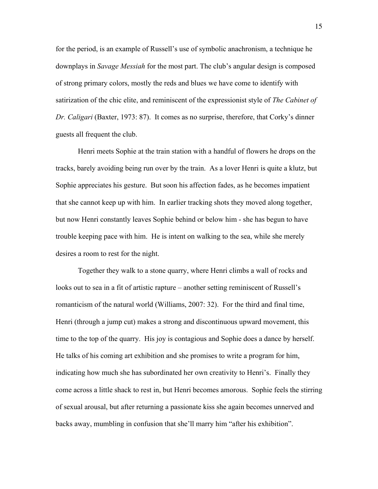for the period, is an example of Russell's use of symbolic anachronism, a technique he downplays in *Savage Messiah* for the most part. The club's angular design is composed of strong primary colors, mostly the reds and blues we have come to identify with satirization of the chic elite, and reminiscent of the expressionist style of *The Cabinet of Dr. Caligari* (Baxter, 1973: 87). It comes as no surprise, therefore, that Corky's dinner guests all frequent the club.

Henri meets Sophie at the train station with a handful of flowers he drops on the tracks, barely avoiding being run over by the train. As a lover Henri is quite a klutz, but Sophie appreciates his gesture. But soon his affection fades, as he becomes impatient that she cannot keep up with him. In earlier tracking shots they moved along together, but now Henri constantly leaves Sophie behind or below him - she has begun to have trouble keeping pace with him. He is intent on walking to the sea, while she merely desires a room to rest for the night.

Together they walk to a stone quarry, where Henri climbs a wall of rocks and looks out to sea in a fit of artistic rapture – another setting reminiscent of Russell's romanticism of the natural world (Williams, 2007: 32). For the third and final time, Henri (through a jump cut) makes a strong and discontinuous upward movement, this time to the top of the quarry. His joy is contagious and Sophie does a dance by herself. He talks of his coming art exhibition and she promises to write a program for him, indicating how much she has subordinated her own creativity to Henri's. Finally they come across a little shack to rest in, but Henri becomes amorous. Sophie feels the stirring of sexual arousal, but after returning a passionate kiss she again becomes unnerved and backs away, mumbling in confusion that she'll marry him "after his exhibition".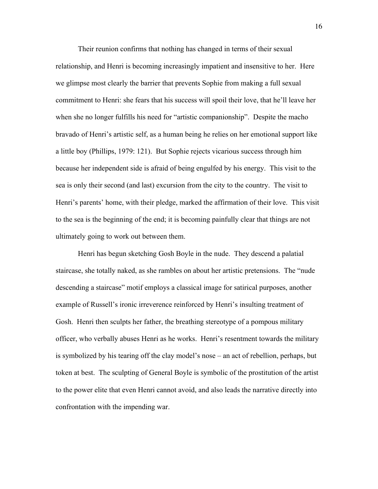Their reunion confirms that nothing has changed in terms of their sexual relationship, and Henri is becoming increasingly impatient and insensitive to her. Here we glimpse most clearly the barrier that prevents Sophie from making a full sexual commitment to Henri: she fears that his success will spoil their love, that he'll leave her when she no longer fulfills his need for "artistic companionship". Despite the macho bravado of Henri's artistic self, as a human being he relies on her emotional support like a little boy (Phillips, 1979: 121). But Sophie rejects vicarious success through him because her independent side is afraid of being engulfed by his energy. This visit to the sea is only their second (and last) excursion from the city to the country. The visit to Henri's parents' home, with their pledge, marked the affirmation of their love. This visit to the sea is the beginning of the end; it is becoming painfully clear that things are not ultimately going to work out between them.

Henri has begun sketching Gosh Boyle in the nude. They descend a palatial staircase, she totally naked, as she rambles on about her artistic pretensions. The "nude descending a staircase" motif employs a classical image for satirical purposes, another example of Russell's ironic irreverence reinforced by Henri's insulting treatment of Gosh. Henri then sculpts her father, the breathing stereotype of a pompous military officer, who verbally abuses Henri as he works. Henri's resentment towards the military is symbolized by his tearing off the clay model's nose – an act of rebellion, perhaps, but token at best. The sculpting of General Boyle is symbolic of the prostitution of the artist to the power elite that even Henri cannot avoid, and also leads the narrative directly into confrontation with the impending war.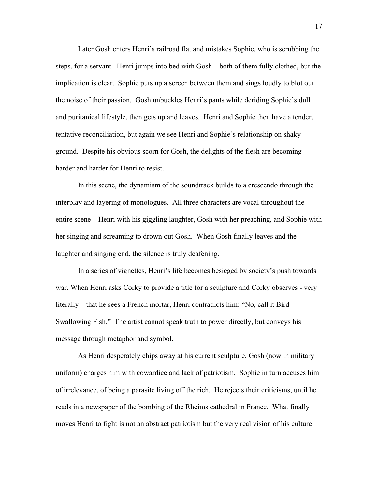Later Gosh enters Henri's railroad flat and mistakes Sophie, who is scrubbing the steps, for a servant. Henri jumps into bed with Gosh – both of them fully clothed, but the implication is clear. Sophie puts up a screen between them and sings loudly to blot out the noise of their passion. Gosh unbuckles Henri's pants while deriding Sophie's dull and puritanical lifestyle, then gets up and leaves. Henri and Sophie then have a tender, tentative reconciliation, but again we see Henri and Sophie's relationship on shaky ground. Despite his obvious scorn for Gosh, the delights of the flesh are becoming harder and harder for Henri to resist.

In this scene, the dynamism of the soundtrack builds to a crescendo through the interplay and layering of monologues. All three characters are vocal throughout the entire scene – Henri with his giggling laughter, Gosh with her preaching, and Sophie with her singing and screaming to drown out Gosh. When Gosh finally leaves and the laughter and singing end, the silence is truly deafening.

In a series of vignettes, Henri's life becomes besieged by society's push towards war. When Henri asks Corky to provide a title for a sculpture and Corky observes - very literally – that he sees a French mortar, Henri contradicts him: "No, call it Bird Swallowing Fish." The artist cannot speak truth to power directly, but conveys his message through metaphor and symbol.

As Henri desperately chips away at his current sculpture, Gosh (now in military uniform) charges him with cowardice and lack of patriotism. Sophie in turn accuses him of irrelevance, of being a parasite living off the rich. He rejects their criticisms, until he reads in a newspaper of the bombing of the Rheims cathedral in France. What finally moves Henri to fight is not an abstract patriotism but the very real vision of his culture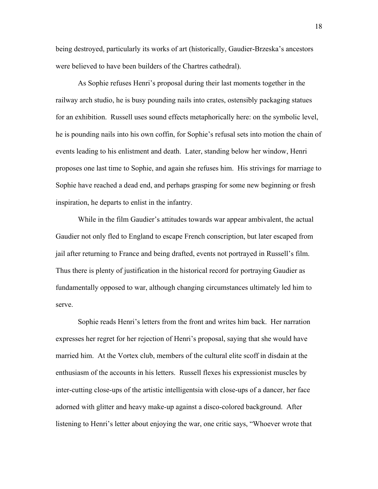being destroyed, particularly its works of art (historically, Gaudier-Brzeska's ancestors were believed to have been builders of the Chartres cathedral).

As Sophie refuses Henri's proposal during their last moments together in the railway arch studio, he is busy pounding nails into crates, ostensibly packaging statues for an exhibition. Russell uses sound effects metaphorically here: on the symbolic level, he is pounding nails into his own coffin, for Sophie's refusal sets into motion the chain of events leading to his enlistment and death. Later, standing below her window, Henri proposes one last time to Sophie, and again she refuses him. His strivings for marriage to Sophie have reached a dead end, and perhaps grasping for some new beginning or fresh inspiration, he departs to enlist in the infantry.

While in the film Gaudier's attitudes towards war appear ambivalent, the actual Gaudier not only fled to England to escape French conscription, but later escaped from jail after returning to France and being drafted, events not portrayed in Russell's film. Thus there is plenty of justification in the historical record for portraying Gaudier as fundamentally opposed to war, although changing circumstances ultimately led him to serve.

Sophie reads Henri's letters from the front and writes him back. Her narration expresses her regret for her rejection of Henri's proposal, saying that she would have married him. At the Vortex club, members of the cultural elite scoff in disdain at the enthusiasm of the accounts in his letters. Russell flexes his expressionist muscles by inter-cutting close-ups of the artistic intelligentsia with close-ups of a dancer, her face adorned with glitter and heavy make-up against a disco-colored background. After listening to Henri's letter about enjoying the war, one critic says, "Whoever wrote that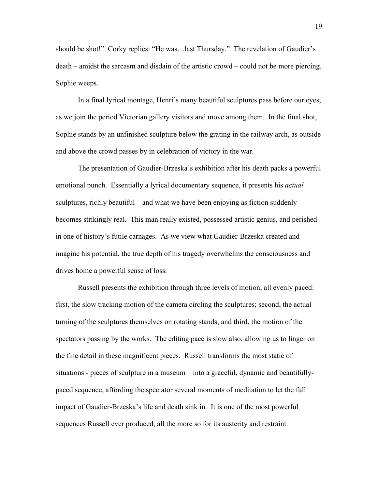should be shot!" Corky replies: "He was…last Thursday." The revelation of Gaudier's death – amidst the sarcasm and disdain of the artistic crowd – could not be more piercing. Sophie weeps.

In a final lyrical montage, Henri's many beautiful sculptures pass before our eyes, as we join the period Victorian gallery visitors and move among them. In the final shot, Sophie stands by an unfinished sculpture below the grating in the railway arch, as outside and above the crowd passes by in celebration of victory in the war.

The presentation of Gaudier-Brzeska's exhibition after his death packs a powerful emotional punch. Essentially a lyrical documentary sequence, it presents his *actual* sculptures, richly beautiful – and what we have been enjoying as fiction suddenly becomes strikingly real. This man really existed, possessed artistic genius, and perished in one of history's futile carnages. As we view what Gaudier-Brzeska created and imagine his potential, the true depth of his tragedy overwhelms the consciousness and drives home a powerful sense of loss.

Russell presents the exhibition through three levels of motion, all evenly paced: first, the slow tracking motion of the camera circling the sculptures; second, the actual turning of the sculptures themselves on rotating stands; and third, the motion of the spectators passing by the works. The editing pace is slow also, allowing us to linger on the fine detail in these magnificent pieces. Russell transforms the most static of situations - pieces of sculpture in a museum – into a graceful, dynamic and beautifullypaced sequence, affording the spectator several moments of meditation to let the full impact of Gaudier-Brzeska's life and death sink in. It is one of the most powerful sequences Russell ever produced, all the more so for its austerity and restraint.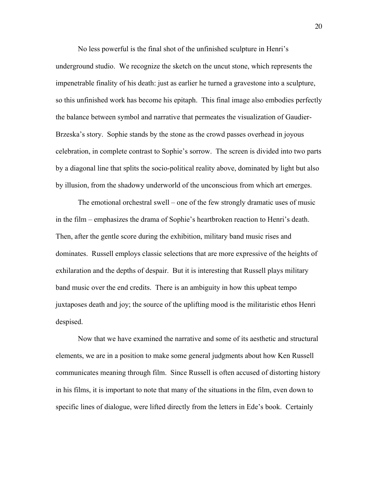No less powerful is the final shot of the unfinished sculpture in Henri's underground studio. We recognize the sketch on the uncut stone, which represents the impenetrable finality of his death: just as earlier he turned a gravestone into a sculpture, so this unfinished work has become his epitaph. This final image also embodies perfectly the balance between symbol and narrative that permeates the visualization of Gaudier-Brzeska's story. Sophie stands by the stone as the crowd passes overhead in joyous celebration, in complete contrast to Sophie's sorrow. The screen is divided into two parts by a diagonal line that splits the socio-political reality above, dominated by light but also by illusion, from the shadowy underworld of the unconscious from which art emerges.

The emotional orchestral swell – one of the few strongly dramatic uses of music in the film – emphasizes the drama of Sophie's heartbroken reaction to Henri's death. Then, after the gentle score during the exhibition, military band music rises and dominates. Russell employs classic selections that are more expressive of the heights of exhilaration and the depths of despair. But it is interesting that Russell plays military band music over the end credits. There is an ambiguity in how this upbeat tempo juxtaposes death and joy; the source of the uplifting mood is the militaristic ethos Henri despised.

Now that we have examined the narrative and some of its aesthetic and structural elements, we are in a position to make some general judgments about how Ken Russell communicates meaning through film. Since Russell is often accused of distorting history in his films, it is important to note that many of the situations in the film, even down to specific lines of dialogue, were lifted directly from the letters in Ede's book. Certainly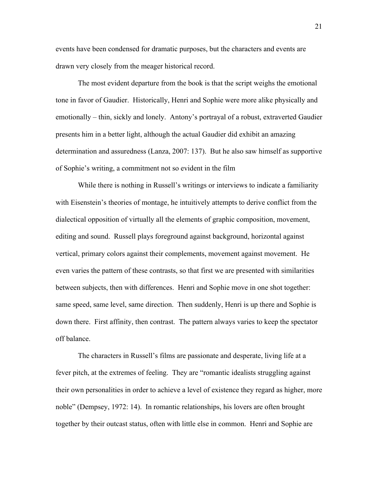events have been condensed for dramatic purposes, but the characters and events are drawn very closely from the meager historical record.

The most evident departure from the book is that the script weighs the emotional tone in favor of Gaudier. Historically, Henri and Sophie were more alike physically and emotionally – thin, sickly and lonely. Antony's portrayal of a robust, extraverted Gaudier presents him in a better light, although the actual Gaudier did exhibit an amazing determination and assuredness (Lanza, 2007: 137). But he also saw himself as supportive of Sophie's writing, a commitment not so evident in the film

While there is nothing in Russell's writings or interviews to indicate a familiarity with Eisenstein's theories of montage, he intuitively attempts to derive conflict from the dialectical opposition of virtually all the elements of graphic composition, movement, editing and sound. Russell plays foreground against background, horizontal against vertical, primary colors against their complements, movement against movement. He even varies the pattern of these contrasts, so that first we are presented with similarities between subjects, then with differences. Henri and Sophie move in one shot together: same speed, same level, same direction. Then suddenly, Henri is up there and Sophie is down there. First affinity, then contrast. The pattern always varies to keep the spectator off balance.

The characters in Russell's films are passionate and desperate, living life at a fever pitch, at the extremes of feeling. They are "romantic idealists struggling against their own personalities in order to achieve a level of existence they regard as higher, more noble" (Dempsey, 1972: 14). In romantic relationships, his lovers are often brought together by their outcast status, often with little else in common. Henri and Sophie are

21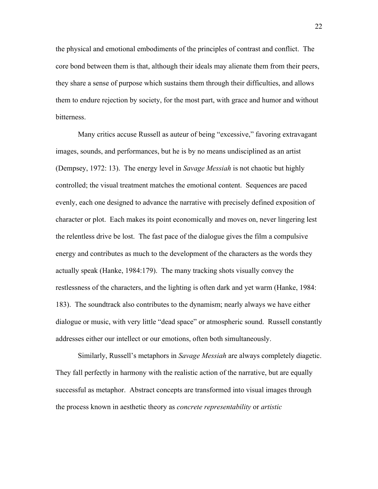the physical and emotional embodiments of the principles of contrast and conflict. The core bond between them is that, although their ideals may alienate them from their peers, they share a sense of purpose which sustains them through their difficulties, and allows them to endure rejection by society, for the most part, with grace and humor and without bitterness.

Many critics accuse Russell as auteur of being "excessive," favoring extravagant images, sounds, and performances, but he is by no means undisciplined as an artist (Dempsey, 1972: 13). The energy level in *Savage Messiah* is not chaotic but highly controlled; the visual treatment matches the emotional content. Sequences are paced evenly, each one designed to advance the narrative with precisely defined exposition of character or plot. Each makes its point economically and moves on, never lingering lest the relentless drive be lost. The fast pace of the dialogue gives the film a compulsive energy and contributes as much to the development of the characters as the words they actually speak (Hanke, 1984:179). The many tracking shots visually convey the restlessness of the characters, and the lighting is often dark and yet warm (Hanke, 1984: 183). The soundtrack also contributes to the dynamism; nearly always we have either dialogue or music, with very little "dead space" or atmospheric sound. Russell constantly addresses either our intellect or our emotions, often both simultaneously.

Similarly, Russell's metaphors in *Savage Messiah* are always completely diagetic. They fall perfectly in harmony with the realistic action of the narrative, but are equally successful as metaphor. Abstract concepts are transformed into visual images through the process known in aesthetic theory as *concrete representability* or *artistic*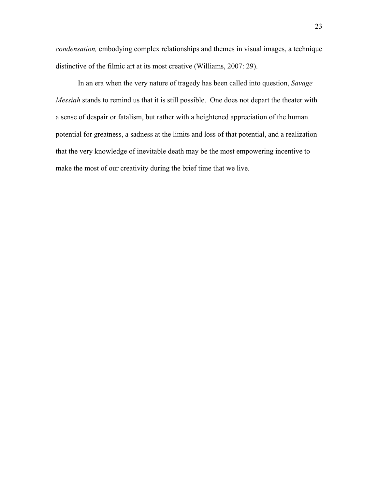*condensation,* embodying complex relationships and themes in visual images, a technique distinctive of the filmic art at its most creative (Williams, 2007: 29).

In an era when the very nature of tragedy has been called into question, *Savage Messiah* stands to remind us that it is still possible. One does not depart the theater with a sense of despair or fatalism, but rather with a heightened appreciation of the human potential for greatness, a sadness at the limits and loss of that potential, and a realization that the very knowledge of inevitable death may be the most empowering incentive to make the most of our creativity during the brief time that we live.